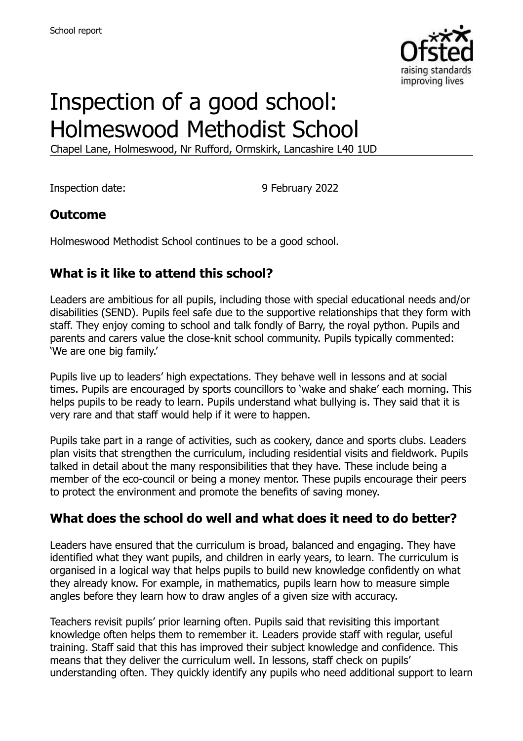

# Inspection of a good school: Holmeswood Methodist School

Chapel Lane, Holmeswood, Nr Rufford, Ormskirk, Lancashire L40 1UD

Inspection date: 9 February 2022

#### **Outcome**

Holmeswood Methodist School continues to be a good school.

#### **What is it like to attend this school?**

Leaders are ambitious for all pupils, including those with special educational needs and/or disabilities (SEND). Pupils feel safe due to the supportive relationships that they form with staff. They enjoy coming to school and talk fondly of Barry, the royal python. Pupils and parents and carers value the close-knit school community. Pupils typically commented: 'We are one big family.'

Pupils live up to leaders' high expectations. They behave well in lessons and at social times. Pupils are encouraged by sports councillors to 'wake and shake' each morning. This helps pupils to be ready to learn. Pupils understand what bullying is. They said that it is very rare and that staff would help if it were to happen.

Pupils take part in a range of activities, such as cookery, dance and sports clubs. Leaders plan visits that strengthen the curriculum, including residential visits and fieldwork. Pupils talked in detail about the many responsibilities that they have. These include being a member of the eco-council or being a money mentor. These pupils encourage their peers to protect the environment and promote the benefits of saving money.

#### **What does the school do well and what does it need to do better?**

Leaders have ensured that the curriculum is broad, balanced and engaging. They have identified what they want pupils, and children in early years, to learn. The curriculum is organised in a logical way that helps pupils to build new knowledge confidently on what they already know. For example, in mathematics, pupils learn how to measure simple angles before they learn how to draw angles of a given size with accuracy.

Teachers revisit pupils' prior learning often. Pupils said that revisiting this important knowledge often helps them to remember it. Leaders provide staff with regular, useful training. Staff said that this has improved their subject knowledge and confidence. This means that they deliver the curriculum well. In lessons, staff check on pupils' understanding often. They quickly identify any pupils who need additional support to learn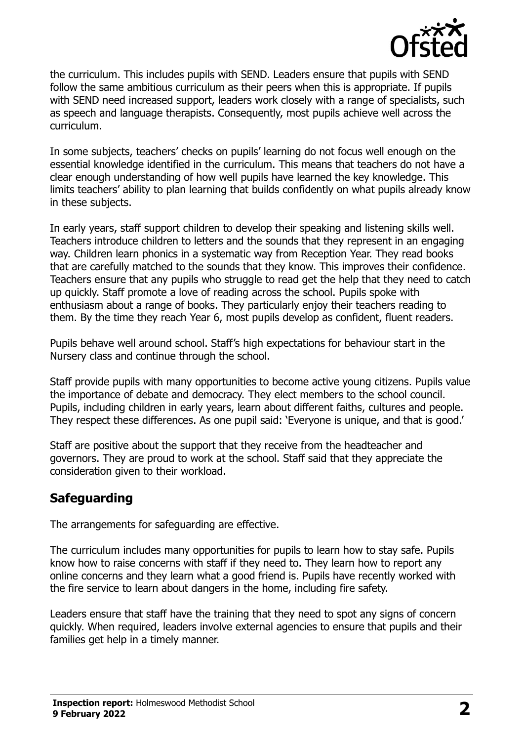

the curriculum. This includes pupils with SEND. Leaders ensure that pupils with SEND follow the same ambitious curriculum as their peers when this is appropriate. If pupils with SEND need increased support, leaders work closely with a range of specialists, such as speech and language therapists. Consequently, most pupils achieve well across the curriculum.

In some subjects, teachers' checks on pupils' learning do not focus well enough on the essential knowledge identified in the curriculum. This means that teachers do not have a clear enough understanding of how well pupils have learned the key knowledge. This limits teachers' ability to plan learning that builds confidently on what pupils already know in these subjects.

In early years, staff support children to develop their speaking and listening skills well. Teachers introduce children to letters and the sounds that they represent in an engaging way. Children learn phonics in a systematic way from Reception Year. They read books that are carefully matched to the sounds that they know. This improves their confidence. Teachers ensure that any pupils who struggle to read get the help that they need to catch up quickly. Staff promote a love of reading across the school. Pupils spoke with enthusiasm about a range of books. They particularly enjoy their teachers reading to them. By the time they reach Year 6, most pupils develop as confident, fluent readers.

Pupils behave well around school. Staff's high expectations for behaviour start in the Nursery class and continue through the school.

Staff provide pupils with many opportunities to become active young citizens. Pupils value the importance of debate and democracy. They elect members to the school council. Pupils, including children in early years, learn about different faiths, cultures and people. They respect these differences. As one pupil said: 'Everyone is unique, and that is good.'

Staff are positive about the support that they receive from the headteacher and governors. They are proud to work at the school. Staff said that they appreciate the consideration given to their workload.

# **Safeguarding**

The arrangements for safeguarding are effective.

The curriculum includes many opportunities for pupils to learn how to stay safe. Pupils know how to raise concerns with staff if they need to. They learn how to report any online concerns and they learn what a good friend is. Pupils have recently worked with the fire service to learn about dangers in the home, including fire safety.

Leaders ensure that staff have the training that they need to spot any signs of concern quickly. When required, leaders involve external agencies to ensure that pupils and their families get help in a timely manner.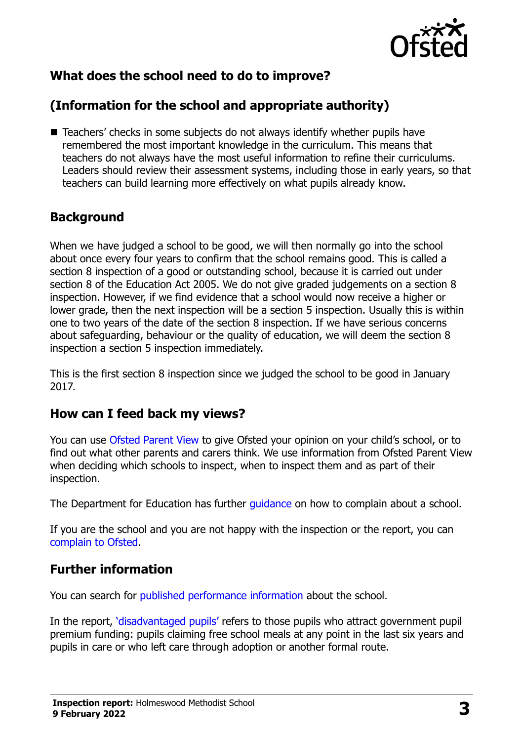

# **What does the school need to do to improve?**

# **(Information for the school and appropriate authority)**

■ Teachers' checks in some subjects do not always identify whether pupils have remembered the most important knowledge in the curriculum. This means that teachers do not always have the most useful information to refine their curriculums. Leaders should review their assessment systems, including those in early years, so that teachers can build learning more effectively on what pupils already know.

### **Background**

When we have judged a school to be good, we will then normally go into the school about once every four years to confirm that the school remains good. This is called a section 8 inspection of a good or outstanding school, because it is carried out under section 8 of the Education Act 2005. We do not give graded judgements on a section 8 inspection. However, if we find evidence that a school would now receive a higher or lower grade, then the next inspection will be a section 5 inspection. Usually this is within one to two years of the date of the section 8 inspection. If we have serious concerns about safeguarding, behaviour or the quality of education, we will deem the section 8 inspection a section 5 inspection immediately.

This is the first section 8 inspection since we judged the school to be good in January 2017.

#### **How can I feed back my views?**

You can use [Ofsted Parent View](https://parentview.ofsted.gov.uk/) to give Ofsted your opinion on your child's school, or to find out what other parents and carers think. We use information from Ofsted Parent View when deciding which schools to inspect, when to inspect them and as part of their inspection.

The Department for Education has further quidance on how to complain about a school.

If you are the school and you are not happy with the inspection or the report, you can [complain to Ofsted.](https://www.gov.uk/complain-ofsted-report)

#### **Further information**

You can search for [published performance information](http://www.compare-school-performance.service.gov.uk/) about the school.

In the report, '[disadvantaged pupils](http://www.gov.uk/guidance/pupil-premium-information-for-schools-and-alternative-provision-settings)' refers to those pupils who attract government pupil premium funding: pupils claiming free school meals at any point in the last six years and pupils in care or who left care through adoption or another formal route.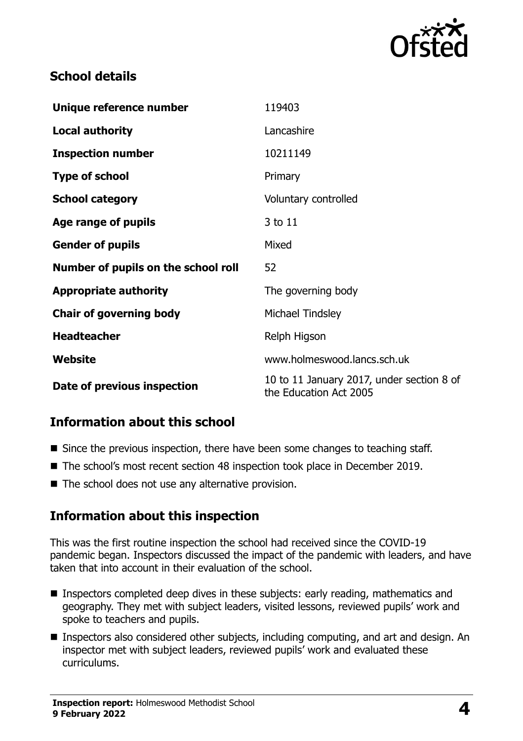

## **School details**

| Unique reference number             | 119403                                                              |
|-------------------------------------|---------------------------------------------------------------------|
| <b>Local authority</b>              | Lancashire                                                          |
| <b>Inspection number</b>            | 10211149                                                            |
| <b>Type of school</b>               | Primary                                                             |
| <b>School category</b>              | Voluntary controlled                                                |
| Age range of pupils                 | 3 to 11                                                             |
| <b>Gender of pupils</b>             | Mixed                                                               |
| Number of pupils on the school roll | 52                                                                  |
| <b>Appropriate authority</b>        | The governing body                                                  |
| <b>Chair of governing body</b>      | Michael Tindsley                                                    |
| <b>Headteacher</b>                  | Relph Higson                                                        |
| Website                             | www.holmeswood.lancs.sch.uk                                         |
| Date of previous inspection         | 10 to 11 January 2017, under section 8 of<br>the Education Act 2005 |

# **Information about this school**

- Since the previous inspection, there have been some changes to teaching staff.
- The school's most recent section 48 inspection took place in December 2019.
- $\blacksquare$  The school does not use any alternative provision.

#### **Information about this inspection**

This was the first routine inspection the school had received since the COVID-19 pandemic began. Inspectors discussed the impact of the pandemic with leaders, and have taken that into account in their evaluation of the school.

- **Inspectors completed deep dives in these subjects: early reading, mathematics and** geography. They met with subject leaders, visited lessons, reviewed pupils' work and spoke to teachers and pupils.
- Inspectors also considered other subjects, including computing, and art and design. An inspector met with subject leaders, reviewed pupils' work and evaluated these curriculums.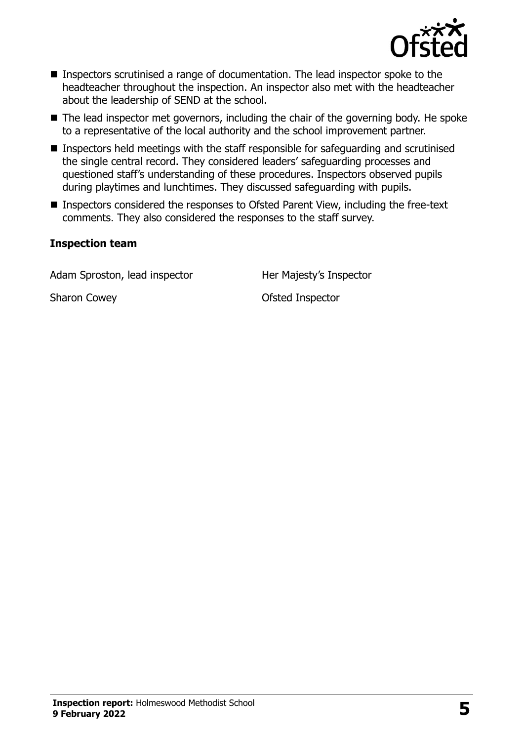

- Inspectors scrutinised a range of documentation. The lead inspector spoke to the headteacher throughout the inspection. An inspector also met with the headteacher about the leadership of SEND at the school.
- The lead inspector met governors, including the chair of the governing body. He spoke to a representative of the local authority and the school improvement partner.
- Inspectors held meetings with the staff responsible for safeguarding and scrutinised the single central record. They considered leaders' safeguarding processes and questioned staff's understanding of these procedures. Inspectors observed pupils during playtimes and lunchtimes. They discussed safeguarding with pupils.
- Inspectors considered the responses to Ofsted Parent View, including the free-text comments. They also considered the responses to the staff survey.

#### **Inspection team**

Adam Sproston, lead inspector Her Majesty's Inspector

Sharon Cowey **Canadian Cowey Contract Contract Contract Contract Contract Contract Contract Contract Contract Contract Contract Contract Contract Contract Contract Contract Contract Contract Contract Contract Contract Co**